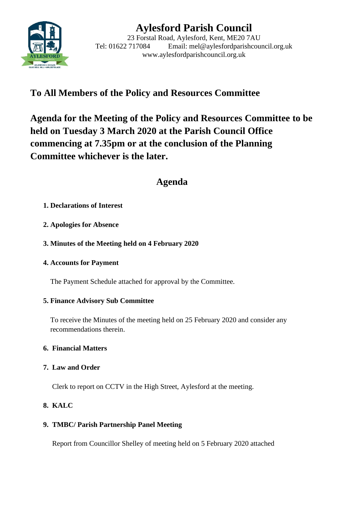

# **Aylesford Parish Council**

23 Forstal Road, Aylesford, Kent, ME20 7AU Tel: 01622 717084 Email: mel@aylesfordparishcouncil.org.uk www.aylesfordparishcouncil.org.uk

## **To All Members of the Policy and Resources Committee**

**Agenda for the Meeting of the Policy and Resources Committee to be held on Tuesday 3 March 2020 at the Parish Council Office commencing at 7.35pm or at the conclusion of the Planning Committee whichever is the later.**

## **Agenda**

## **1. Declarations of Interest**

- **2. Apologies for Absence**
- **3. Minutes of the Meeting held on 4 February 2020**
- **4. Accounts for Payment**

The Payment Schedule attached for approval by the Committee.

## **5. Finance Advisory Sub Committee**

To receive the Minutes of the meeting held on 25 February 2020 and consider any recommendations therein.

## **6. Financial Matters**

## **7. Law and Order**

Clerk to report on CCTV in the High Street, Aylesford at the meeting.

## **8. KALC**

## **9. TMBC/ Parish Partnership Panel Meeting**

Report from Councillor Shelley of meeting held on 5 February 2020 attached